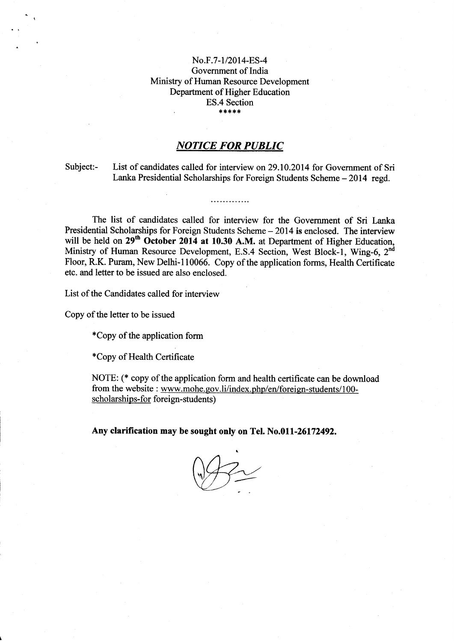## No.F.7-1/2014-ES-4 Government of India Ministry of Human Resource Development Department of Higher Education ES.4 Section , {.!f\*\*\*

## **NOTICE FOR PUBLIC**

. . . . . . . . . . . . .

Subject:- List of candidates called for interview on 29.10 .2014 for Govemment of Sri Lanka Presidential Scholarships for Foreign Students Scheme - 2014 regd.

The list of candidates called for interview for the Government of Sri Lanka Presidential Scholarships for Foreign Students Scheme - 2014 is enclosed. The interview will be held on 29<sup>th</sup> October 2014 at 10.30 A.M. at Department of Higher Education, Ministry of Human Resource Development, E.S.4 Section, West Block-1, Wing-6, 2<sup>nd</sup> Floor, R.K. Puram, New Delhi-I10066. Copy of the application forms, Health Certificate etc. and letter to be issued are also enclosed.

List of the Candidates called for interview

Copy of the letter to be issued

\*Copy of the application form

\*Copy of Health Certificate

NOTE: (\* copy of the application form and health certificate can be download from the website : www.mohe.gov.li/index.php/en/foreign-students/100scholarships-for foreign-students)

Any clarification may be sought only on Tel. No.01l-26172492.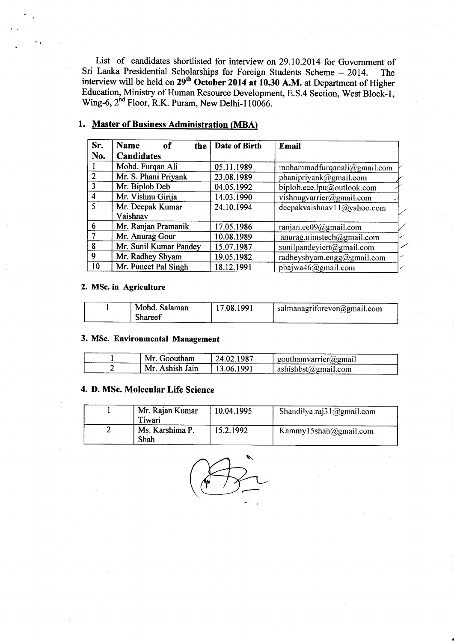List of candidates shortlisted for interview on 29.10.2014 for Govemment of Sri Lanka Presidential Scholarships for Foreign Students Scheme - 2014. The interview will be held on 29<sup>th</sup> October 2014 at 10.30 A.M. at Department of Higher Education, Ministry of Human Resource Development, E.S.4 Section, West Block-|, Wing-6, 2<sup>nd</sup> Floor, R.K. Puram, New Delhi-110066.

| Sr.            | <b>Name</b><br><sub>of</sub><br>the | Date of Birth | <b>Email</b>                |
|----------------|-------------------------------------|---------------|-----------------------------|
| No.            | <b>Candidates</b>                   |               |                             |
|                | Mohd. Furqan Ali                    | 05.11.1989    | mohammadfurqanali@gmail.com |
| $\mathcal{P}$  | Mr. S. Phani Priyank                | 23.08.1989    | phanipriyank@gmail.com      |
| $\mathbf{3}$   | Mr. Biplob Deb                      | 04.05.1992    | biplob.ece.lpu@outlook.com  |
| $\overline{4}$ | Mr. Vishnu Girija                   | 14.03.1990    | vishnugvarrier@gmail.com    |
| $\varsigma$    | Mr. Deepak Kumar                    | 24.10.1994    | deepakvaishnav11@yahoo.com  |
|                | Vaishnav                            |               |                             |
| 6              | Mr. Ranjan Pramanik                 | 17.05.1986    | ranjan.ee09@gmail.com       |
| $\tau$         | Mr. Anurag Gour                     | 10.08.1989    | anurag.nimstech@gmail.com   |
| 8              | Mr. Sunil Kumar Pandey              | 15.07.1987    | sunilpandeyiert@gmail.com   |
| 9              | Mr. Radhey Shyam                    | 19.05.1982    | radheyshyam.engg@gmail.com  |
| 10             | Mr. Puneet Pal Singh                | 18.12.1991    | pbajwa46@gmail.com          |

## l. Master of Business Administration (MBA)

#### 2. MSc. in Agriculture

| Mohd. Salaman | 17.08.1991 | $\frac{1}{1}$ salmanagriforever(a)gmail.com |
|---------------|------------|---------------------------------------------|
| Shareef       |            |                                             |

#### 3. MSc. Environmental Management

| Mr. Gooutham    | 24.02.1987 | $\Box$ gouthamvarrier( <i>a</i> )gmail |
|-----------------|------------|----------------------------------------|
| Mr. Ashish Jain | I3 06 1991 | ashishbst $\omega$ gmail.com           |

## 4. D. MSc. Molecular Life Science

| Mr. Rajan Kumar<br>Tiwari | 10.04.1995 | Shandilya.raj $31$ ( <i>a</i> )gmail.com |
|---------------------------|------------|------------------------------------------|
| Ms. Karshima P.<br>Shah   | 15.2.1992  | Kammy15shah@gmail.com                    |

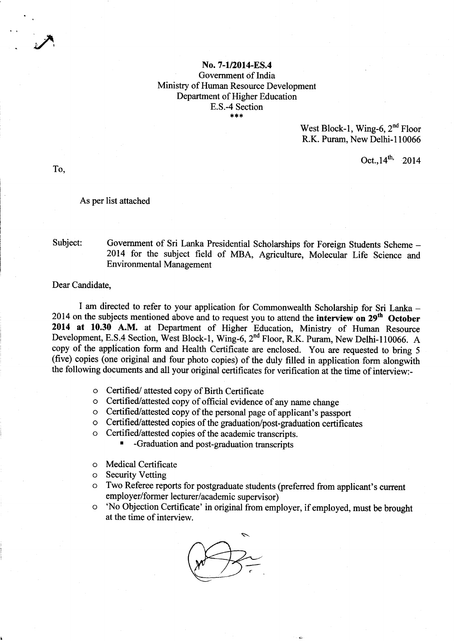## No. 7-1/2014-ES.4 Government of India Ministry of Human Resource Development Department of Higher Education E.S.-4 Section

West Block-1, Wing-6, 2<sup>nd</sup> Floor R.K. Puram, New Delhi-110066

Oct.,  $14^{th}$ , 2014

To,

#### As per list attached

## Subject: Government of Sri Lanka Presidential Scholarships for Foreign Students Scheme -2014 for the subject field of MBA, Agriculture, Molecular Life Science and Environmental Management

#### Dear Candidate,

I am directed to refer to your application for Commonwealth Scholarship for Sri Lanka -2014 on the subjects mentioned above and to request you to attend the interview on 29<sup>th</sup> October 2014 at 10.30 A.M. at Department of Higher Education, Ministry of Human Resource Development, E.S,4 Section, West Block-1, Wing-6, 2nd Floor, R.K. Puram, New Delhi-l10066. A copy of the application form and Health Certificate are enclosed. You are requested to bring <sup>5</sup> (five) copies (one original and four photo copies) of the duly filled in application form alongwith the following documents and all your original certificates for verification at the time of interview:-

- o Certified/ attested copy of Birth Certificate
- o Certified/attested copy of official evidence of any name change
- o Certified/attested copy of the personal page of applicant's passport
- o Certified/attested copies of the graduation/post-graduation certificates
- o Certified/attested copies of the academic transcripts.
	- -Graduation and post-graduation transcripts
- o Medical Certificate
- o Security Vetting
- o Two Referee reports for postgraduate students (preferred from applicant's current employer/former lecturer/academic supervisor)
- o 'No Objection Certificate' in original from employer, if employed, must be brought at the time of interview.

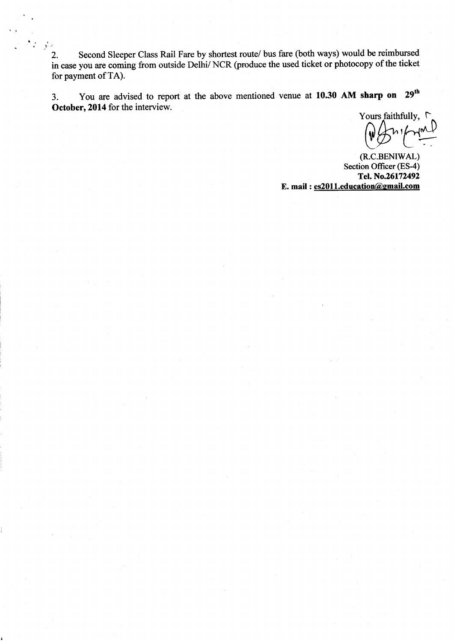2. Second Sleeper Class Rail Fare by shortest route/ bus fare (both ways) would be reimbursed in case you are coming from outside Delhi/ NCR (produce the used ticket or photocopy of the ticket for payment of TA).

3. You are advised to report at the above mentioned venue at 10.30 AM sharp on 29<sup>th</sup> October, 2014 for the interview.

Yours faithfully, r  $W_3$   $W_3$ 

(R.C.BENIWAL) Section Officer (ES-4)<br>Tel. No.26172492 E. mail: es2011.education@gmail.com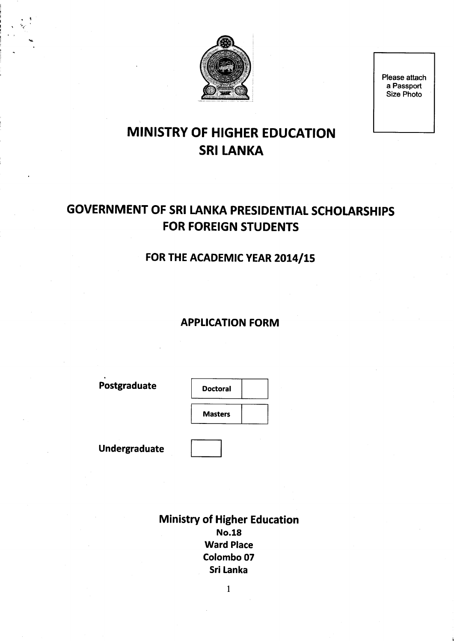

Please attach a Passport Size Photo

# MINISTRY OF HIGHER EDUCATION **SRI LANKA**

# GOVERNMENT OF SRI LANKA PRESIDENTIAL SCHOLARSHIPS FOR FOREIGN STUDENTS

## FOR THE ACADEMIC YEAR 2014/15

## **APPLICATION FORM**

Postgraduate | Doctoral

i I<br>I<br>I I is ;

**Masters** 

Undergraduate

Ministry of Higher Education No.18 Ward Place Colombo 07 Sri Lanka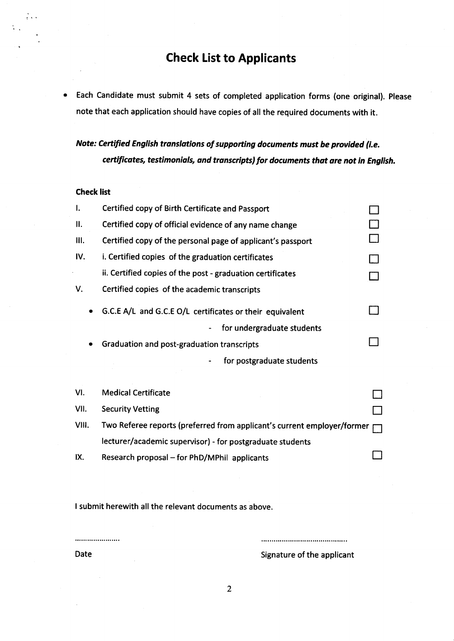## Check List to Applicants

Each Candidate must submit 4 sets of completed application forms (one original). Please  $\bullet$ note that each application should have copies of all the required documents with it.

Note: Certified English translations of supporting documents must be provided (i.e. certificates, testimonials, and tronscripts) for documents that ore not in English.

## Check list

| ı.        | Certified copy of Birth Certificate and Passport                        |  |
|-----------|-------------------------------------------------------------------------|--|
| II.       | Certified copy of official evidence of any name change                  |  |
| Ш.        | Certified copy of the personal page of applicant's passport             |  |
| IV.       | i. Certified copies of the graduation certificates                      |  |
|           | ii. Certified copies of the post - graduation certificates              |  |
| V.        | Certified copies of the academic transcripts                            |  |
| $\bullet$ | G.C.E A/L and G.C.E O/L certificates or their equivalent                |  |
|           | for undergraduate students                                              |  |
| ٠         | Graduation and post-graduation transcripts                              |  |
|           | for postgraduate students                                               |  |
|           |                                                                         |  |
| VI.       | <b>Medical Certificate</b>                                              |  |
| VII.      | <b>Security Vetting</b>                                                 |  |
| VIII.     | Two Referee reports (preferred from applicant's current employer/former |  |
|           | lecturer/academic supervisor) - for postgraduate students               |  |

IX. Research proposal – for PhD/MPhil applicants  $\Box$ 

I submit herewith all the relevant documents as above.

.....................

Date **Signature of the applicant**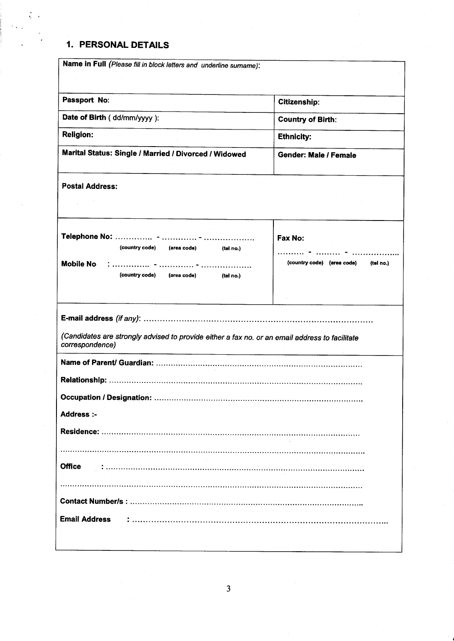## 1. PERSONAL DETAILS

| Name in Full (Please fill in block letters and underline surname):                                                                                                                                                                         |                                                                                                    |  |  |  |
|--------------------------------------------------------------------------------------------------------------------------------------------------------------------------------------------------------------------------------------------|----------------------------------------------------------------------------------------------------|--|--|--|
|                                                                                                                                                                                                                                            |                                                                                                    |  |  |  |
|                                                                                                                                                                                                                                            |                                                                                                    |  |  |  |
| Passport No:                                                                                                                                                                                                                               | <b>Citizenship:</b>                                                                                |  |  |  |
| Date of Birth (dd/mm/yyyy):                                                                                                                                                                                                                | <b>Country of Birth:</b>                                                                           |  |  |  |
| <b>Religion:</b>                                                                                                                                                                                                                           | <b>Ethnicity:</b>                                                                                  |  |  |  |
| Marital Status: Single / Married / Divorced / Widowed                                                                                                                                                                                      | <b>Gender: Male / Female</b>                                                                       |  |  |  |
| <b>Postal Address:</b>                                                                                                                                                                                                                     |                                                                                                    |  |  |  |
| (country code) (area code) (tel no.)<br><b>Mobile No</b><br>(country code) (area code) (tel no.)                                                                                                                                           | Fax No:<br>$\cdots$ $\cdots$ $\cdots$ $\cdots$ $\cdots$<br>(country code) (area code)<br>(tel no.) |  |  |  |
| (Candidates are strongly advised to provide either a fax no. or an email address to facilitate<br>correspondence)<br><u> 1980 - Andrea Stadt Britain, amerikan berlandar berlandar berlandar berlanda berlanda berlanda berlanda berla</u> |                                                                                                    |  |  |  |
|                                                                                                                                                                                                                                            |                                                                                                    |  |  |  |
|                                                                                                                                                                                                                                            |                                                                                                    |  |  |  |
|                                                                                                                                                                                                                                            |                                                                                                    |  |  |  |
| Address:-                                                                                                                                                                                                                                  |                                                                                                    |  |  |  |
|                                                                                                                                                                                                                                            |                                                                                                    |  |  |  |
|                                                                                                                                                                                                                                            |                                                                                                    |  |  |  |
| <b>Office</b>                                                                                                                                                                                                                              |                                                                                                    |  |  |  |
|                                                                                                                                                                                                                                            |                                                                                                    |  |  |  |
|                                                                                                                                                                                                                                            |                                                                                                    |  |  |  |
| <b>Email Address</b>                                                                                                                                                                                                                       |                                                                                                    |  |  |  |
|                                                                                                                                                                                                                                            |                                                                                                    |  |  |  |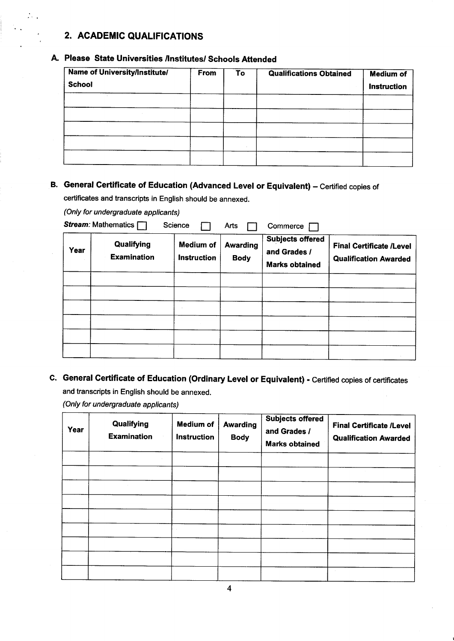## 2. ACADEMIC QUALIFICATIONS

## A. Please State Universities /Institutes/ Schools Attended

| <b>Name of University/Institute/</b><br><b>School</b> | From | To | <b>Qualifications Obtained</b> | <b>Medium of</b><br><b>Instruction</b> |
|-------------------------------------------------------|------|----|--------------------------------|----------------------------------------|
|                                                       |      |    |                                |                                        |
|                                                       |      |    |                                |                                        |
|                                                       |      |    |                                |                                        |
|                                                       |      |    |                                |                                        |
|                                                       |      |    |                                |                                        |

## B. General Certificate of Education (Advanced Level or Equivalent) - Certified copies of

certificates and transcripts in English should be annexed.

(Only for undergraduate applicants)

| Year | Stream: Mathematics [<br>Qualifying<br><b>Examination</b> | Science<br><b>Medium of</b><br><b>Instruction</b> | Arts<br><b>Awarding</b><br><b>Body</b> | Commerce<br><b>Subjects offered</b><br>and Grades /<br><b>Marks obtained</b> | <b>Final Certificate /Level</b><br><b>Qualification Awarded</b> |
|------|-----------------------------------------------------------|---------------------------------------------------|----------------------------------------|------------------------------------------------------------------------------|-----------------------------------------------------------------|
|      |                                                           |                                                   |                                        |                                                                              |                                                                 |
|      |                                                           |                                                   |                                        |                                                                              |                                                                 |
|      |                                                           |                                                   |                                        |                                                                              |                                                                 |
|      |                                                           |                                                   |                                        |                                                                              |                                                                 |

## C. General Certificate of Education (Ordinary Level or Equivalent) - Certified copies of certificates and transcripts in English should be annexed.

(Only for undergraduate applicants)

| Year | Qualifying<br><b>Examination</b> | <b>Medium of</b><br>Instruction | <b>Awarding</b><br><b>Body</b> | <b>Subjects offered</b><br>and Grades /<br><b>Marks obtained</b> | <b>Final Certificate /Level</b><br><b>Qualification Awarded</b> |
|------|----------------------------------|---------------------------------|--------------------------------|------------------------------------------------------------------|-----------------------------------------------------------------|
|      |                                  |                                 |                                |                                                                  |                                                                 |
|      |                                  |                                 |                                |                                                                  |                                                                 |
|      |                                  |                                 |                                |                                                                  |                                                                 |
|      |                                  |                                 |                                |                                                                  |                                                                 |
|      |                                  |                                 |                                |                                                                  |                                                                 |
|      |                                  |                                 |                                |                                                                  |                                                                 |
|      |                                  |                                 |                                |                                                                  |                                                                 |
|      |                                  |                                 |                                |                                                                  |                                                                 |
|      |                                  |                                 |                                |                                                                  |                                                                 |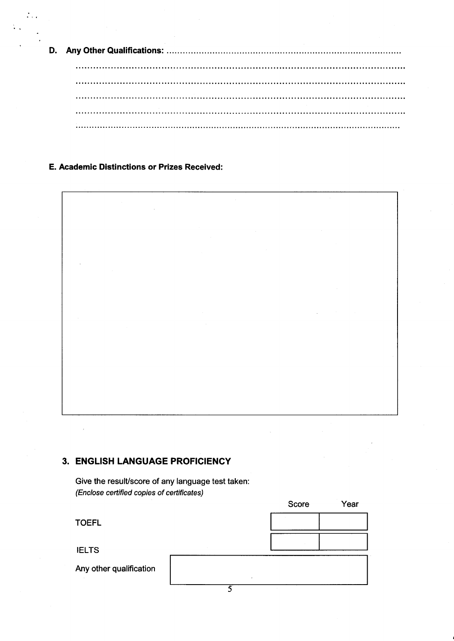D. Any Other Qualifications: ........................ 

E. Academic Distinctions or Prizes Received:



## 3. ENGLISH LANGUAGE PROFICIENCY

Give the result/score of any language test taken: (Enclose certified copies of certificates)

**Score** Year TOEFL IELTS Any other qualification 5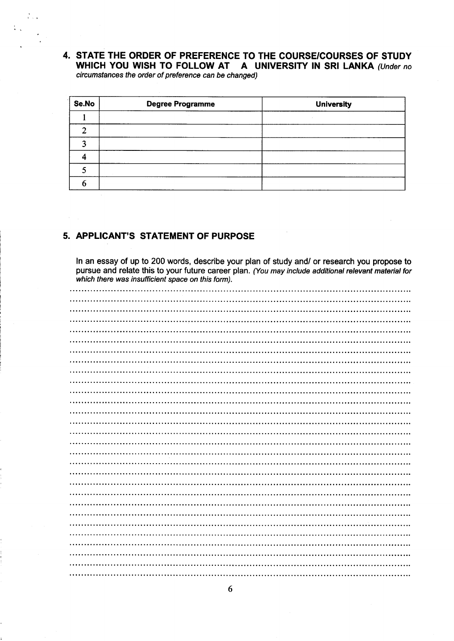## 4. STATE THE ORDER OF PREFERENCE TO THE COURSE/COURSES OF STUDY WHICH YOU WISH TO FOLLOW AT A UNIVERSITY IN SRI LANKA (Under no circumstances fhe order of preference can be changed)

| Se.No | <b>Degree Programme</b> | <b>University</b> |
|-------|-------------------------|-------------------|
|       |                         |                   |
|       |                         |                   |
|       |                         |                   |
|       |                         |                   |
|       |                         |                   |
|       |                         |                   |

## 5. APPLICANT'S STATEMENT OF PURPOSE

ln an essay of up to 200 words, describe your plan of study and/ or research you propose to pursue and relate this to your future career plan. (You may include additional relevant material for which there was insufficient space on this form).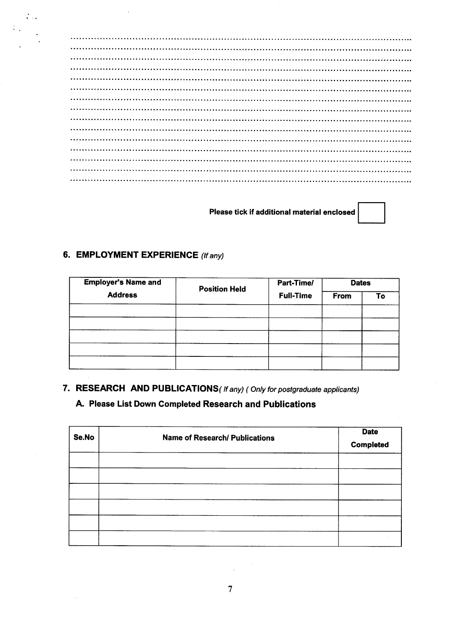## Please tick if additional material enclosed

## 6. EMPLOYMENT EXPERIENCE (If any)

 $\mathcal{L}_{\text{max}}$ 

| <b>Employer's Name and</b> | <b>Position Held</b> | Part-Time/       | From | <b>Dates</b> |  |
|----------------------------|----------------------|------------------|------|--------------|--|
| <b>Address</b>             |                      | <b>Full-Time</b> |      | То           |  |
|                            |                      |                  |      |              |  |
|                            |                      |                  |      |              |  |
|                            |                      |                  |      |              |  |
|                            |                      |                  |      |              |  |

## 7. RESEARCH AND PUBLICATIONS( If any) ( Only for postgraduate applicants)

## A. Please List Down Gompleted Research and Publications

| Se.No | <b>Name of Research/ Publications</b> | <b>Date</b><br><b>Completed</b> |
|-------|---------------------------------------|---------------------------------|
|       |                                       |                                 |
|       |                                       |                                 |
|       |                                       |                                 |
|       |                                       |                                 |
|       |                                       |                                 |
|       |                                       |                                 |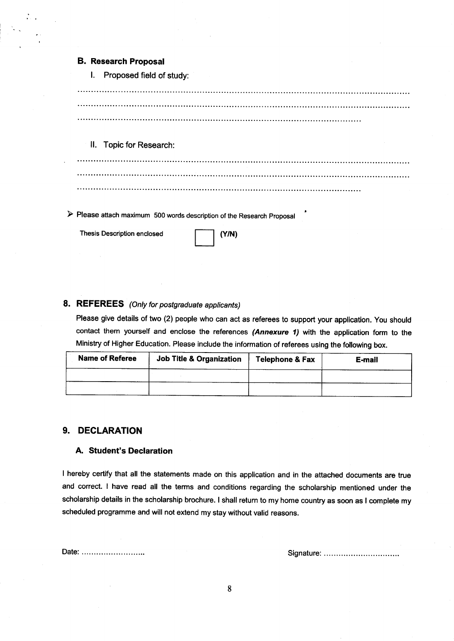|  | <b>B. Research Proposal</b> |  |
|--|-----------------------------|--|
|--|-----------------------------|--|

!. Proposed field of study:

ll. Topic for Research:

 $\triangleright$  Please attach maximum 500 words description of the Research Proposal

Thesis Description enclosed **Thesis Description enclosed** (Y/N)

## 8. REFEREES (Only for postgraduate applicants)

Please give details of two (2) people who can act as referees to support your application. you should contact them yourself and enclose the references (Annexure 1) with the application form to the Ministry of Higher Education. Please include the information of referees using the following box.

| <b>Name of Referee</b> | Job Title & Organization | Telephone & Fax | E-mail |
|------------------------|--------------------------|-----------------|--------|
|                        |                          |                 |        |
|                        |                          |                 |        |

### 9. DECLARATION

#### A. Student's Declaration

I hereby certify that all the statements made on this application and in the attached documents are true and correct. I have read all the terms and conditions regarding the scholarship mentioned under the scholarship details in the scholarship brochure. I shall return to my home country as soon as I complete my scheduled programme and will not extend my stay without valid reasons.

Date: Signature: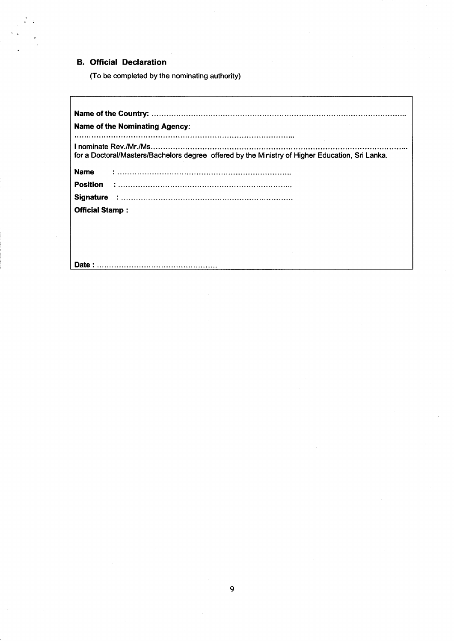#### **B. Official Declaration**

 $\sim$ 

(To be completed by the nominating authority)

Date:

Name of the Country: Name of the Nominating Agency: I nominate Rev./Mr./Ms. for a Doctorat/Masters/Bachelors degree offered by the Ministry of Higher Education, Sri Lanka. Name : Position : Signature : **Official Stamp:**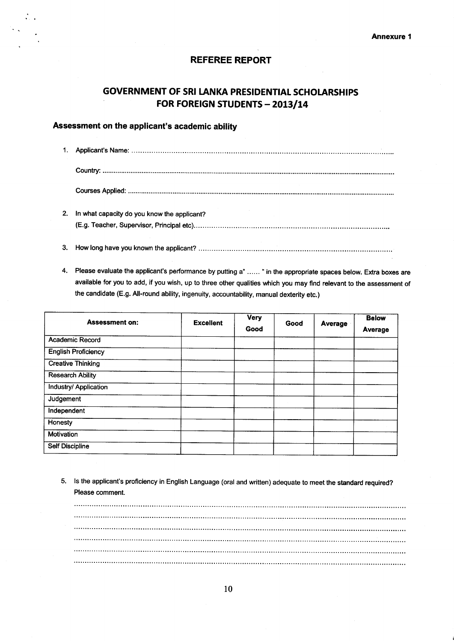#### **REFEREE REPORT**

## **GOVERNMENT OF SRI LANKA PRESIDENTIAL SCHOLARSHIPS** FOR FOREIGN STUDENTS - 2013/14

#### Assessment on the applicant's academic ability

| 2. In what capacity do you know the applicant? |
|------------------------------------------------|
|                                                |

- 
- 4. Please evaluate the applicant's performance by putting a" ...... " in the appropriate spaces below. Extra boxes are available for you to add, if you wish, up to three other qualities which you may find relevant to the assessment of the candidate (E.g. All-round ability, ingenuity, accountability, manual dexterity etc.)

| <b>Assessment on:</b>      | <b>Excellent</b> | Very<br>Good | Good | Average | <b>Below</b><br>Average |
|----------------------------|------------------|--------------|------|---------|-------------------------|
| Academic Record            |                  |              |      |         |                         |
| <b>English Proficiency</b> |                  |              |      |         |                         |
| <b>Creative Thinking</b>   |                  |              |      |         |                         |
| <b>Research Ability</b>    |                  |              |      |         |                         |
| Industry/ Application      |                  |              |      |         |                         |
| Judgement                  |                  |              |      |         |                         |
| Independent                |                  |              |      |         |                         |
| Honesty                    |                  |              |      |         |                         |
| Motivation                 |                  |              |      |         |                         |
| <b>Self Discipline</b>     |                  |              |      |         |                         |

5. Is the applicant's proficiency in English Language (oral and written) adequate to meet the standard required? Please comment.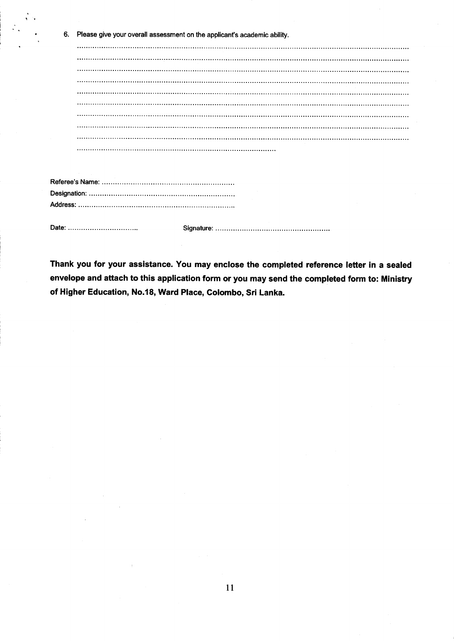| 6. | Please give your overall assessment on the applicant's academic ability. |
|----|--------------------------------------------------------------------------|
|    |                                                                          |
|    |                                                                          |
|    |                                                                          |
|    |                                                                          |
|    |                                                                          |
|    |                                                                          |
|    |                                                                          |
|    |                                                                          |
|    |                                                                          |
|    |                                                                          |
|    |                                                                          |
|    |                                                                          |
|    |                                                                          |
|    |                                                                          |
|    |                                                                          |

jr l.

Signature:

Thank you for your assistance. You may enclose the completed reference letter in a sealed envelope and attach to this application form or you may send the completed form to: Ministry of Higher Education, No.l8, Ward Place, Colombo, Sri Lanka.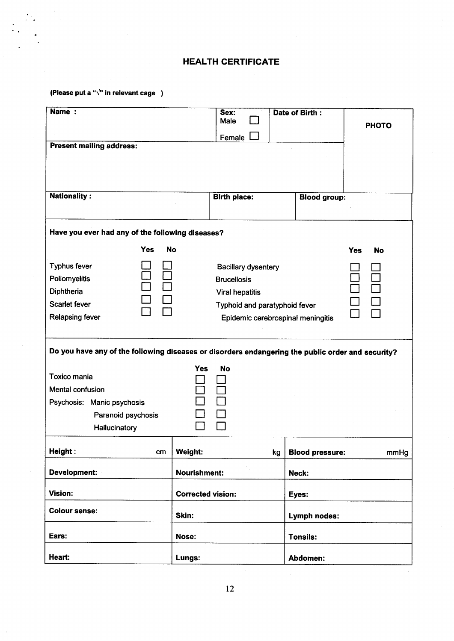## HEALTH CERTIFICATE

(Please put a " $\sqrt{n}$  in relevant cage )

| Name:                                                                                                                                                                                            |                          | Sex:<br>Male<br>Female                                                                                                                           |    | Date of Birth:         | <b>PHOTO</b>            |
|--------------------------------------------------------------------------------------------------------------------------------------------------------------------------------------------------|--------------------------|--------------------------------------------------------------------------------------------------------------------------------------------------|----|------------------------|-------------------------|
| <b>Present mailing address:</b>                                                                                                                                                                  |                          |                                                                                                                                                  |    |                        |                         |
| <b>Nationality:</b>                                                                                                                                                                              |                          | <b>Birth place:</b>                                                                                                                              |    | <b>Blood group:</b>    |                         |
| Have you ever had any of the following diseases?                                                                                                                                                 |                          |                                                                                                                                                  |    |                        |                         |
| <b>Yes</b><br><b>Typhus fever</b><br>Poliomyelitis<br>Diphtheria<br><b>Scarlet fever</b><br><b>Relapsing fever</b>                                                                               | <b>No</b>                | <b>Bacillary dysentery</b><br><b>Brucellosis</b><br><b>Viral hepatitis</b><br>Typhoid and paratyphoid fever<br>Epidemic cerebrospinal meningitis |    |                        | <b>Yes</b><br><b>No</b> |
| Do you have any of the following diseases or disorders endangering the public order and security?<br><b>Toxico mania</b><br>Mental confusion<br>Psychosis: Manic psychosis<br>Paranoid psychosis | Yes                      | <b>No</b>                                                                                                                                        |    |                        |                         |
| Hallucinatory<br>Height:<br>cm                                                                                                                                                                   | Weight:                  |                                                                                                                                                  | kg | <b>Blood pressure:</b> | mmHg                    |
| <b>Development:</b>                                                                                                                                                                              | <b>Nourishment:</b>      |                                                                                                                                                  |    | Neck:                  |                         |
| Vision:                                                                                                                                                                                          | <b>Corrected vision:</b> |                                                                                                                                                  |    | Eyes:                  |                         |
| <b>Colour sense:</b>                                                                                                                                                                             | Skin:                    |                                                                                                                                                  |    | Lymph nodes:           |                         |
| Ears:                                                                                                                                                                                            | Nose:                    |                                                                                                                                                  |    | <b>Tonsils:</b>        |                         |
| Heart:                                                                                                                                                                                           | Lungs:                   |                                                                                                                                                  |    | Abdomen:               |                         |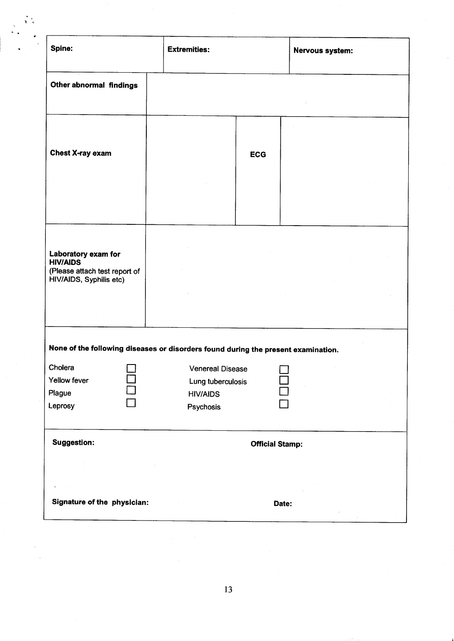| Spine:                                                                                             | <b>Extremities:</b>                                                                                                                                               | Nervous system: |
|----------------------------------------------------------------------------------------------------|-------------------------------------------------------------------------------------------------------------------------------------------------------------------|-----------------|
| Other abnormal findings                                                                            |                                                                                                                                                                   |                 |
| <b>Chest X-ray exam</b>                                                                            | <b>ECG</b>                                                                                                                                                        |                 |
| Laboratory exam for<br><b>HIV/AIDS</b><br>(Please attach test report of<br>HIV/AIDS, Syphilis etc) |                                                                                                                                                                   |                 |
| Cholera<br>Yellow fever<br>Plague<br>Leprosy                                                       | None of the following diseases or disorders found during the present examination.<br><b>Venereal Disease</b><br>Lung tuberculosis<br><b>HIV/AIDS</b><br>Psychosis |                 |
| <b>Suggestion:</b>                                                                                 | <b>Official Stamp:</b>                                                                                                                                            |                 |
| Signature of the physician:                                                                        | Date:                                                                                                                                                             |                 |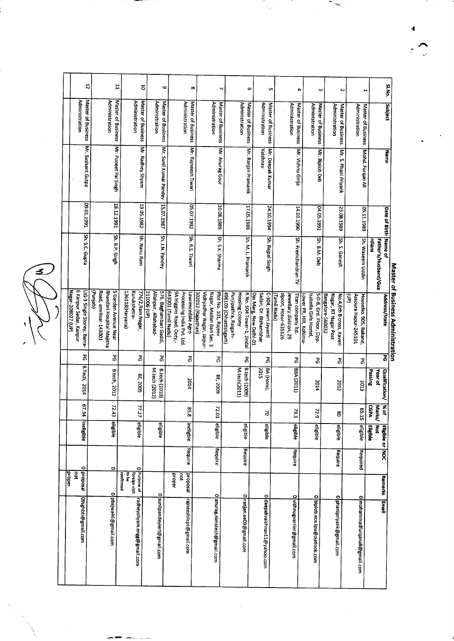<u>る</u>

| 22                                                                         |                                                                                        | 급                    |                                             | 5                  | G                                                             |                                                |                           | $\infty$                |                                                 |                          | ┙                         |                                                 |                                             | თ                      |                                               | C                  |                                      | 4                                            |                         |                                                  | $\boldsymbol{\omega}$ |                                                  | Z                    |                      | ىر                            |                           |                       | SI.No.                            |
|----------------------------------------------------------------------------|----------------------------------------------------------------------------------------|----------------------|---------------------------------------------|--------------------|---------------------------------------------------------------|------------------------------------------------|---------------------------|-------------------------|-------------------------------------------------|--------------------------|---------------------------|-------------------------------------------------|---------------------------------------------|------------------------|-----------------------------------------------|--------------------|--------------------------------------|----------------------------------------------|-------------------------|--------------------------------------------------|-----------------------|--------------------------------------------------|----------------------|----------------------|-------------------------------|---------------------------|-----------------------|-----------------------------------|
| Administration<br>Master of Business                                       | Administration                                                                         | Master of Business   | Administration                              | Master of Business | Administration<br>Master of Business                          |                                                | Administration            | Master of Business      |                                                 | <b>Administration</b>    | Master of Business        |                                                 | <b>Administration</b><br>Master of Business |                        | Administration                                | Master of Business |                                      | Administration<br>Master of Business         |                         | Administration<br>Master of Business             |                       | Administration                                   | Master of Business   | Administration       | Master of Business            |                           | <b>Subject</b>        |                                   |
| Mr. Sushant Gutpa                                                          |                                                                                        | Mr. Puneet Pal Singh |                                             | Mr. Radhey Shyam   | Mr. Sunil Kumar Pandey                                        |                                                |                           | Mr. Rajneesh Tiwari     |                                                 |                          | Mr. Anurag Gour           |                                                 | Mr. Ranjan Pramanik                         |                        | Vaishnav                                      | Mr. Deepak Kumar   |                                      | Mr. Vishnu Girija                            |                         | Mr. Biplob Deb                                   |                       |                                                  | Mr. S. Phani Priyank |                      | Mohd. Furqan Ali              |                           | Mame                  |                                   |
| 1661'10'60                                                                 |                                                                                        | 18.12.1991           |                                             | 19.05.1982         | 15.07.1987                                                    |                                                |                           | 2661'1992               |                                                 |                          | 10.08.1989                |                                                 | 17.05.1986                                  |                        |                                               | 24.10.1994         |                                      | 14.03.1990                                   |                         | 04.05.1992                                       |                       | 23.08.1989                                       |                      |                      | 05.11.1989                    |                           | Date of Birth Name of |                                   |
| Sh. S.C. Gupta                                                             |                                                                                        | Sh. B.P. Singh       |                                             | Sh. Nanu Ram       | Sh. J.N. Pandey                                               |                                                |                           | Sh. R.S. Tiwari         |                                                 |                          | Sh. S.K. Sharma           |                                                 | Sh. M. L. Pramanik                          |                        |                                               | Sh. Rajpal Singh   |                                      | Sh. Premchandran TV                          |                         | Sh. B.M. Deb                                     |                       | 5h. S. Ganesh                                    |                      |                      | Sh. Waseem Uddin              | rdians                    | Father's/Husband/Gua  |                                   |
| 6 Kanpur Sadar, Kanpur<br>Nagar-208027 (UP)<br>-IG-3 Single Storey, Barra- | Road, amritsar-143001<br>Bhandari Hospital Majitha<br>5 Garden Avenue Near<br>(dinjab) |                      | 136118(Haryana)<br>Kurukshetra-             | 776/2, Ram Nagar,  | 576, Baghambari Gaddi,<br>Allahpur, Allahabad-<br>211006 (UP) | 643001 (Tamil Nadu)<br>9A Higgins Road, Ooty,- | Processing India Pvt. Ltd | Lawrencedale Agro       | 302012 (Rajasthan)<br>Vidhyadhar Nagar, Jaipur- | Nagar, Madan Bari Sec. 3 | Plot No. 101, Rajeev      | Punjipathra, Raigarh-<br>496109 (Chhattishgarh) | R.No. 604 Tower-1, Jindal<br>Housing Colony | Das Marg, New Delhi-01 | Sadan, Dr. Bishambhar<br>C-304, swarn Jayanti |                    | sipcot, Hosur-635126<br>(Tamil Nadu) | Jewellary division, 29<br>Titan company Itd. | Lower PR, Hill, Kohima- | S-D-6, Grd. Floor, Opp<br>Isabella Girls Hostel, | Bangalore-560032      | Nagar, RT Nagar Post<br>No.4,6th B cross, Kaveri | ŝ                    | Assoura Hapur-245101 | HouseNo. 905, Bakand,         |                           | Address/State         | Master of Business Administration |
| 2g                                                                         | යි                                                                                     |                      |                                             | వి                 | යි                                                            |                                                |                           | ჯ<br>ი                  |                                                 |                          | នី                        |                                                 | ଌ                                           |                        | <b>Z</b>                                      |                    |                                      | යි                                           |                         | 2g                                               |                       | Z                                                |                      |                      | ଌ                             |                           | द्व                   |                                   |
| B. Tech, 2014                                                              | B.tech, 2012                                                                           |                      | BE, 2005                                    |                    | M.tech (2012)<br><b>B.tech (2010)</b>                         |                                                |                           | 2014                    |                                                 |                          | BE, 2009                  |                                                 | B.tech (2009)<br>M.tech(2011)               |                        | 2015<br>BA (Hons),                            |                    |                                      | BBA (2011)                                   |                         | 2014                                             |                       | 2012                                             |                      |                      | 2013                          | Passing<br><b>Year of</b> | <b>Qualification/</b> |                                   |
| 67.34                                                                      | 72.43                                                                                  |                      | 77.27                                       |                    |                                                               |                                                |                           | ç,<br>$\infty$          |                                                 |                          | 72.<br>Ξ                  |                                                 |                                             |                        | ă                                             |                    |                                      | 79.3                                         |                         | $\tilde{z}$<br>io                                |                       | g                                                |                      |                      | ង្ហ<br>່ຜ                     | <b>CGPA</b><br>Marks/     | kok                   |                                   |
| <b><i><u>Ineligible</u></i></b>                                            | eligible                                                                               |                      | eligible                                    |                    | eligible                                                      |                                                |                           | ineligble               |                                                 |                          | eligible                  |                                                 | eligible                                    |                        | eligible                                      |                    |                                      | <b>eligible</b>                              |                         | eligible                                         |                       | eligible                                         |                      |                      | eligible                      | š<br>Eligible             | Eligible or NOC       |                                   |
|                                                                            | $\circ$                                                                                |                      | 0                                           |                    |                                                               |                                                |                           | Require                 |                                                 |                          | Require                   |                                                 | Require                                     |                        |                                               |                    |                                      | Require                                      |                         |                                                  |                       | Require                                          |                      |                      | Required                      |                           |                       |                                   |
| Diproposal<br>proper                                                       |                                                                                        | confirmed            | <b>Purpose of</b><br>ag at<br>foreign visit |                    |                                                               | proper                                         | ğ                         | <b>proposal</b>         |                                                 |                          | $\circ$                   |                                                 |                                             |                        |                                               |                    |                                      |                                              |                         | $\overline{\mathbf{C}}$                          |                       |                                                  |                      |                      |                               |                           | Remarks               |                                   |
| O9sghbti@gmail.com                                                         | 0 pbajwa46@gmail.com                                                                   |                      | ¦radheyshyam.engg@gmail.com                 |                    | 0 sunilpandeyiert@gmail.com                                   |                                                |                           | rajneeshiicpt@gmail.com |                                                 |                          | anurag.nimstech@gmail.com |                                                 | 0 ranjan.ee09@gmail.com                     |                        | 0 deepakvaishnav11@yahoo.com                  |                    |                                      | 0 vishnugvarrier@gmail.com                   |                         | biplob.ece.lpu@outlook.com                       |                       | 0 phanipriyank@gmail.com                         |                      |                      | 0 mohammadfurqanali@gmail.com |                           | lismail               |                                   |

 $\mathbb{Z}_2$ 

 $\sim$   $m_{\rm{HeV}}$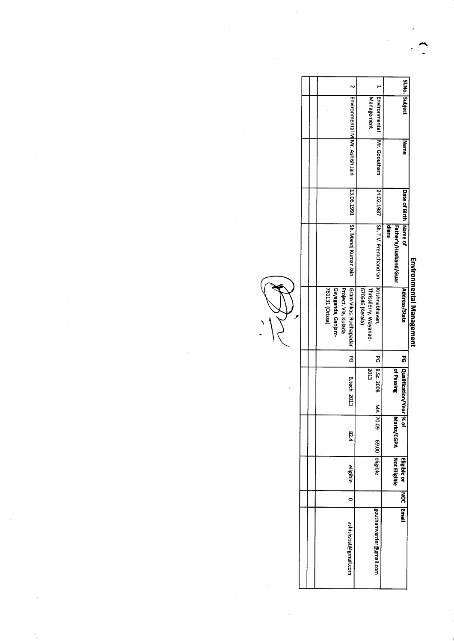|                                                                                         | Management                                                            |                                                                                                                                |                                                                                                                           |
|-----------------------------------------------------------------------------------------|-----------------------------------------------------------------------|--------------------------------------------------------------------------------------------------------------------------------|---------------------------------------------------------------------------------------------------------------------------|
|                                                                                         | Mr. Gooutham                                                          | <b>Mame</b>                                                                                                                    |                                                                                                                           |
|                                                                                         |                                                                       |                                                                                                                                |                                                                                                                           |
|                                                                                         |                                                                       | Father's/Husband/Guar<br>dians                                                                                                 |                                                                                                                           |
| Gayaganda, Ganjam-<br>Gram Vikas, Rudhapadar<br>Project, Via, Kulada<br>761131 (Orissa) | Krishnabhavan,<br>670646 (Kerala)<br>Thrissilerry, Wayanad-           | Address/State                                                                                                                  | Environmental Management                                                                                                  |
| යි<br>ග                                                                                 |                                                                       |                                                                                                                                |                                                                                                                           |
| <b>B.tech 2013</b>                                                                      |                                                                       |                                                                                                                                |                                                                                                                           |
| 82.4                                                                                    | <b>20.09</b>                                                          | Marks/CGPA<br>× of                                                                                                             |                                                                                                                           |
| eligible                                                                                |                                                                       |                                                                                                                                |                                                                                                                           |
| ٥                                                                                       |                                                                       |                                                                                                                                |                                                                                                                           |
| ashishsbst@gmail.com                                                                    |                                                                       |                                                                                                                                |                                                                                                                           |
|                                                                                         | Environmental M  Mr. Ashish Jain<br>13.06.1991   Sh. Manoj Kumar Jain | Environmental<br>24.02.1987  Sh. T.V. Premchandran<br>PG 8.5c. 2008<br>5013<br>š<br>69.00 eligible<br>gouthamvarrier@gmail.com | SI.No. Subject<br>Date of Birth Name of<br>PG   Qualification/Year<br>of Passing<br>Not Eligible<br>Eigiste or NOC lemail |

U<br>V

 $\overline{\phantom{0}}$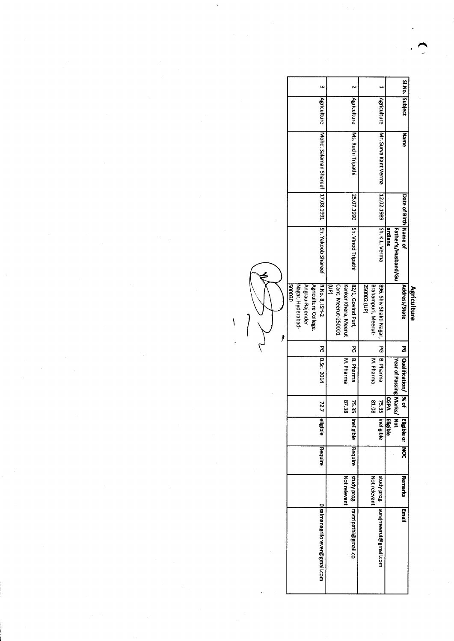|             | Si.No. Subject        |                        |                 |                                     |                     |             |                                  |                      |                     |                                  |                      |                 |                   |        |
|-------------|-----------------------|------------------------|-----------------|-------------------------------------|---------------------|-------------|----------------------------------|----------------------|---------------------|----------------------------------|----------------------|-----------------|-------------------|--------|
|             |                       |                        |                 | Agriculture                         |                     |             | Agriculture                      |                      |                     | Agriculture                      |                      |                 |                   |        |
|             | Manne                 |                        |                 | IMr. Surya Kant Verma               |                     |             | <b>INS. Ruchi Tripathi</b>       |                      |                     | Mohd. Salaman Shareef 17.08.1991 |                      |                 |                   |        |
|             | Date of Birth Mame of |                        |                 |                                     |                     |             |                                  |                      |                     |                                  |                      |                 |                   |        |
|             |                       | Father's/Husband/Gu    | ardians         | 12.02.1989 Sh. K.L. Verma           |                     |             | 25.07.1990 Sh. Vinod Tripathi    |                      |                     | Sh. Yakoob Shareef               |                      |                 |                   |        |
| Agriculture | Address/State         |                        |                 | 1896, Shiv Shakti Nagar,            | Brahampuri, Meerut- | (dn) 200052 | 82/1, Govind Puri,               | Kanker Khera, Meerut | Cant. Meerut-250001 | R.No. 8, ISH-2                   | Agriculture College, | Angrau-Rajender | Nagar, Hyderabad- | 060005 |
|             | ጞ<br>የ                |                        |                 | ፚ<br>ማ                              |                     |             | 2<br>S                           |                      |                     | გ<br>ი                           |                      |                 |                   |        |
|             | Qualification/ % of   | Year of Passing Marks/ |                 | B. Pharma                           | M. Pharma           |             | <b>B. Pharma</b>                 | M. Pharma            |                     | 8.5c. 2014                       |                      |                 |                   |        |
|             |                       |                        | <b>CGPA</b>     | 75.35                               | 80.18               |             | 75.35                            | 87.38                |                     | 72.7                             |                      |                 |                   |        |
|             | Eligible or MOC       | <b>Not</b>             | <b>Eligible</b> | ineligible                          |                     |             | ineligible                       |                      |                     | eligible                         |                      |                 |                   |        |
|             |                       |                        |                 |                                     |                     |             | Require                          |                      |                     | Require                          |                      |                 |                   |        |
|             | <b>Remarks</b>        |                        |                 |                                     | Not relevant        |             |                                  | Not relevant         |                     |                                  |                      |                 |                   |        |
|             | <b>Email</b>          |                        |                 | study prog.   surajmeerut@gmail.com |                     |             | study prog. ravtripathi@gmail.co |                      |                     | 0 salmanagriforever@gmail.com    |                      |                 |                   |        |
|             |                       |                        |                 |                                     |                     |             |                                  |                      |                     |                                  |                      |                 |                   |        |

R.

 $\overline{1}$